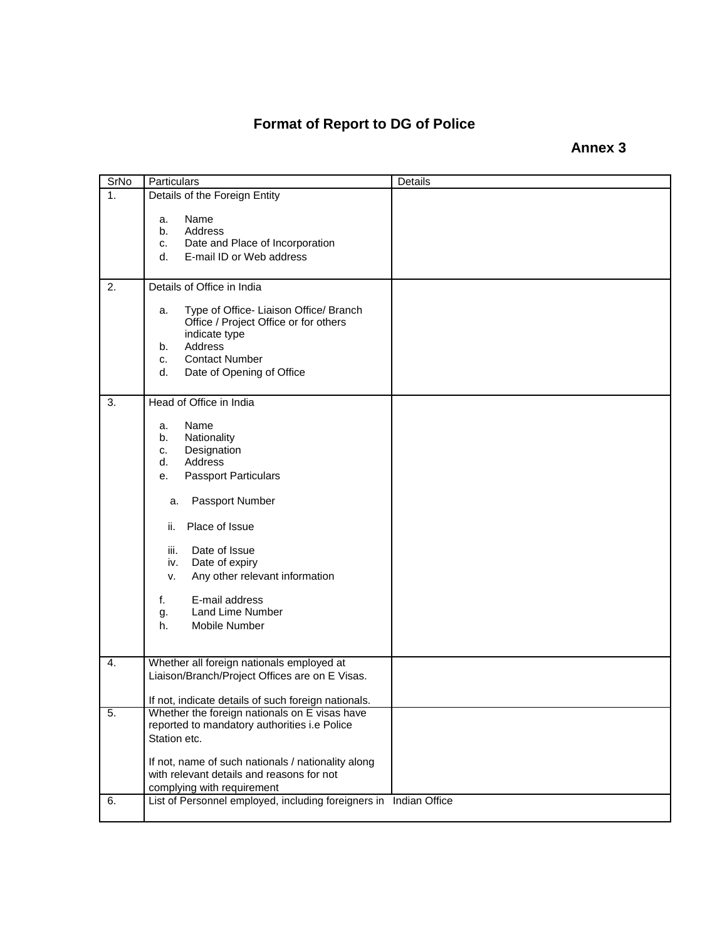## **Format of Report to DG of Police**

**Annex 3**

| <b>SrNo</b> | Particulars                                                                                                                                                                                                                                                                                                                     | Details |  |  |  |  |  |
|-------------|---------------------------------------------------------------------------------------------------------------------------------------------------------------------------------------------------------------------------------------------------------------------------------------------------------------------------------|---------|--|--|--|--|--|
| 1.          | Details of the Foreign Entity                                                                                                                                                                                                                                                                                                   |         |  |  |  |  |  |
|             | Name<br>a.<br>Address<br>b.<br>Date and Place of Incorporation<br>c.<br>E-mail ID or Web address<br>d.                                                                                                                                                                                                                          |         |  |  |  |  |  |
| 2.          | Details of Office in India                                                                                                                                                                                                                                                                                                      |         |  |  |  |  |  |
|             | Type of Office- Liaison Office/ Branch<br>a.<br>Office / Project Office or for others<br>indicate type<br>Address<br>b.<br><b>Contact Number</b><br>c.<br>Date of Opening of Office<br>d.                                                                                                                                       |         |  |  |  |  |  |
| 3.          | Head of Office in India                                                                                                                                                                                                                                                                                                         |         |  |  |  |  |  |
|             | Name<br>a.<br>Nationality<br>b.<br>Designation<br>c.<br>Address<br>d.<br><b>Passport Particulars</b><br>е.<br>Passport Number<br>a.<br>Place of Issue<br>ii.<br>iii.<br>Date of Issue<br>Date of expiry<br>iv.<br>Any other relevant information<br>v.<br>E-mail address<br>f.<br>Land Lime Number<br>g.<br>Mobile Number<br>h. |         |  |  |  |  |  |
| 4.          | Whether all foreign nationals employed at<br>Liaison/Branch/Project Offices are on E Visas.<br>If not, indicate details of such foreign nationals.                                                                                                                                                                              |         |  |  |  |  |  |
| 5.          | Whether the foreign nationals on E visas have                                                                                                                                                                                                                                                                                   |         |  |  |  |  |  |
|             | reported to mandatory authorities i.e Police<br>Station etc.<br>If not, name of such nationals / nationality along<br>with relevant details and reasons for not<br>complying with requirement                                                                                                                                   |         |  |  |  |  |  |
| 6.          | List of Personnel employed, including foreigners in Indian Office                                                                                                                                                                                                                                                               |         |  |  |  |  |  |
|             |                                                                                                                                                                                                                                                                                                                                 |         |  |  |  |  |  |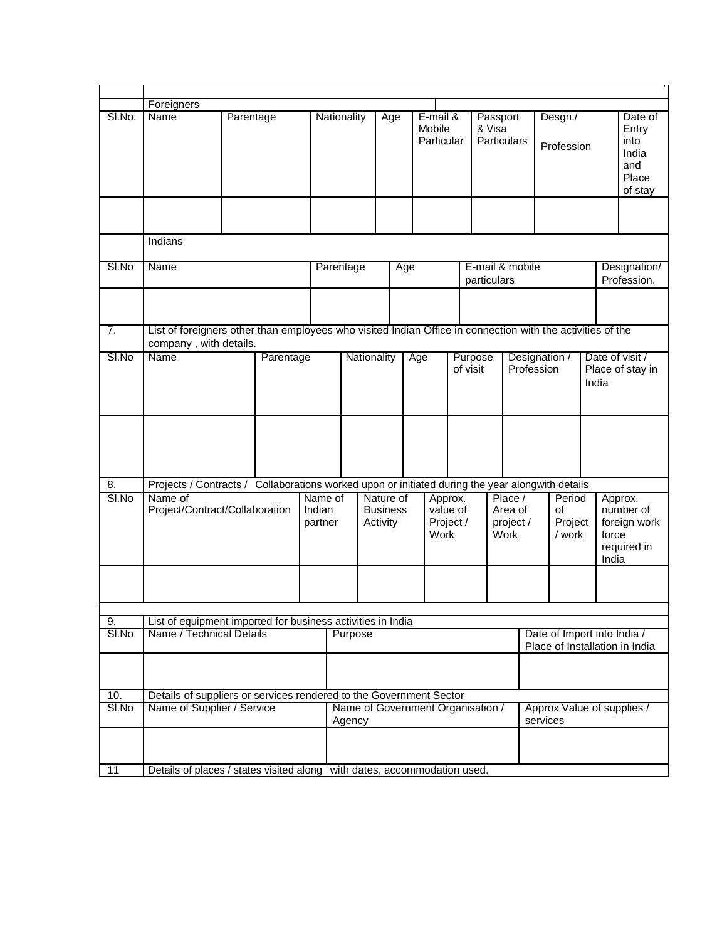|             | Foreigners                                                                                                                           |                                                                                                    |           |  |             |                                             |     |                                          |                                                               |                                         |  |  |                                        |                       |                                                                       |                                                              |
|-------------|--------------------------------------------------------------------------------------------------------------------------------------|----------------------------------------------------------------------------------------------------|-----------|--|-------------|---------------------------------------------|-----|------------------------------------------|---------------------------------------------------------------|-----------------------------------------|--|--|----------------------------------------|-----------------------|-----------------------------------------------------------------------|--------------------------------------------------------------|
| SI.No.      | Name                                                                                                                                 |                                                                                                    | Parentage |  | Nationality | Age                                         |     | E-mail &<br>Mobile<br>Particular         |                                                               | Passport<br>& Visa<br>Particulars       |  |  |                                        | Desgn./<br>Profession |                                                                       | Date of<br>Entry<br>into<br>India<br>and<br>Place<br>of stay |
|             |                                                                                                                                      |                                                                                                    |           |  |             |                                             |     |                                          |                                                               |                                         |  |  |                                        |                       |                                                                       |                                                              |
|             | Indians                                                                                                                              |                                                                                                    |           |  |             |                                             |     |                                          |                                                               |                                         |  |  |                                        |                       |                                                                       |                                                              |
| SI.No       | Name                                                                                                                                 |                                                                                                    |           |  | Parentage   |                                             | Age |                                          |                                                               | E-mail & mobile<br>particulars          |  |  |                                        |                       | Designation/<br>Profession.                                           |                                                              |
|             |                                                                                                                                      |                                                                                                    |           |  |             |                                             |     |                                          |                                                               |                                         |  |  |                                        |                       |                                                                       |                                                              |
| 7.          | List of foreigners other than employees who visited Indian Office in connection with the activities of the<br>company, with details. |                                                                                                    |           |  |             |                                             |     |                                          |                                                               |                                         |  |  |                                        |                       |                                                                       |                                                              |
| SI.No       | <b>Name</b>                                                                                                                          |                                                                                                    | Parentage |  | Nationality |                                             |     | Age                                      |                                                               | Purpose<br>of visit                     |  |  | Designation /<br>Profession            |                       | Date of visit /<br>Place of stay in<br>India                          |                                                              |
|             |                                                                                                                                      |                                                                                                    |           |  |             |                                             |     |                                          |                                                               |                                         |  |  |                                        |                       |                                                                       |                                                              |
| 8.          | Projects / Contracts / Collaborations worked upon or initiated during the year alongwith details                                     |                                                                                                    |           |  |             |                                             |     |                                          |                                                               |                                         |  |  |                                        |                       |                                                                       |                                                              |
| SI.No       | Name of                                                                                                                              | Project/Contract/Collaboration<br>Indian<br>partner                                                |           |  | Name of     | Nature of<br><b>Business</b><br>Activity    |     | Approx.<br>value of<br>Project /<br>Work |                                                               | Place /<br>Area of<br>project /<br>Work |  |  | Period<br>of<br>Project<br>/ work      |                       | Approx.<br>number of<br>foreign work<br>force<br>required in<br>India |                                                              |
|             |                                                                                                                                      |                                                                                                    |           |  |             |                                             |     |                                          |                                                               |                                         |  |  |                                        |                       |                                                                       |                                                              |
|             |                                                                                                                                      |                                                                                                    |           |  |             |                                             |     |                                          |                                                               |                                         |  |  |                                        |                       |                                                                       |                                                              |
| 9.<br>SI.No |                                                                                                                                      | List of equipment imported for business activities in India<br>Name / Technical Details<br>Purpose |           |  |             |                                             |     |                                          | Date of Import into India /<br>Place of Installation in India |                                         |  |  |                                        |                       |                                                                       |                                                              |
|             |                                                                                                                                      |                                                                                                    |           |  |             |                                             |     |                                          |                                                               |                                         |  |  |                                        |                       |                                                                       |                                                              |
| 10.         |                                                                                                                                      | Details of suppliers or services rendered to the Government Sector                                 |           |  |             |                                             |     |                                          |                                                               |                                         |  |  |                                        |                       |                                                                       |                                                              |
| SI.No       |                                                                                                                                      | Name of Supplier / Service                                                                         |           |  |             | Name of Government Organisation /<br>Agency |     |                                          |                                                               |                                         |  |  | Approx Value of supplies /<br>services |                       |                                                                       |                                                              |
|             |                                                                                                                                      |                                                                                                    |           |  |             |                                             |     |                                          |                                                               |                                         |  |  |                                        |                       |                                                                       |                                                              |
| 11          | Details of places / states visited along with dates, accommodation used.                                                             |                                                                                                    |           |  |             |                                             |     |                                          |                                                               |                                         |  |  |                                        |                       |                                                                       |                                                              |